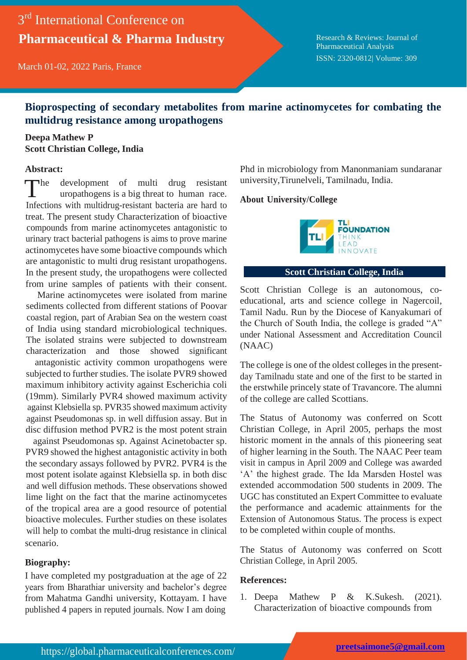# 3<sup>rd</sup> International Conference on **Pharmaceutical & Pharma Industry**

March 01-02, 2022 Paris, France

Research & Reviews: Journal of Pharmaceutical Analysis ISSN: 2320-0812| Volume: 309

# **Bioprospecting of secondary metabolites from marine actinomycetes for combating the multidrug resistance among uropathogens**

## **Deepa Mathew P Scott Christian College, India**

### **Abstract:**

 $\n **The**\n$ development of multi drug resistant uropathogens is a big threat to human race. Infections with multidrug-resistant bacteria are hard to treat. The present study Characterization of bioactive compounds from marine actinomycetes antagonistic to urinary tract bacterial pathogens is aims to prove marine actinomycetes have some bioactive compounds which are antagonistic to multi drug resistant uropathogens. In the present study, the uropathogens were collected from urine samples of patients with their consent.

Marine actinomycetes were isolated from marine sediments collected from different stations of Poovar coastal region, part of Arabian Sea on the western coast of India using standard microbiological techniques. The isolated strains were subjected to downstream characterization and those showed significant

antagonistic activity common uropathogens were subjected to further studies. The isolate PVR9 showed maximum inhibitory activity against Escherichia coli (19mm). Similarly PVR4 showed maximum activity against Klebsiella sp. PVR35 showed maximum activity against Pseudomonas sp. in well diffusion assay. But in disc diffusion method PVR2 is the most potent strain

against Pseudomonas sp. Against Acinetobacter sp. PVR9 showed the highest antagonistic activity in both the secondary assays followed by PVR2. PVR4 is the most potent isolate against Klebsiella sp. in both disc and well diffusion methods. These observations showed lime light on the fact that the marine actinomycetes of the tropical area are a good resource of potential bioactive molecules. Further studies on these isolates will help to combat the multi-drug resistance in clinical scenario.

### **Biography:**

I have completed my postgraduation at the age of 22 years from Bharathiar university and bachelor's degree from Mahatma Gandhi university, Kottayam. I have published 4 papers in reputed journals. Now I am doing

Phd in microbiology from Manonmaniam sundaranar university,Tirunelveli, Tamilnadu, India.

#### **About University/College**



#### **Scott Christian College, India**

Scott Christian College is an autonomous, coeducational, arts and science college in Nagercoil, Tamil Nadu. Run by the Diocese of Kanyakumari of the Church of South India, the college is graded "A" under National Assessment and Accreditation Council (NAAC)

The college is one of the oldest colleges in the presentday Tamilnadu state and one of the first to be started in the erstwhile princely state of Travancore. The alumni of the college are called Scottians.

The Status of Autonomy was conferred on Scott Christian College, in April 2005, perhaps the most historic moment in the annals of this pioneering seat of higher learning in the South. The NAAC Peer team visit in campus in April 2009 and College was awarded 'A' the highest grade. The Ida Marsden Hostel was extended accommodation 500 students in 2009. The UGC has constituted an Expert Committee to evaluate the performance and academic attainments for the Extension of Autonomous Status. The process is expect to be completed within couple of months.

The Status of Autonomy was conferred on Scott Christian College, in April 2005.

#### **References:**

1. Deepa Mathew P & K.Sukesh. (2021). Characterization of bioactive compounds from